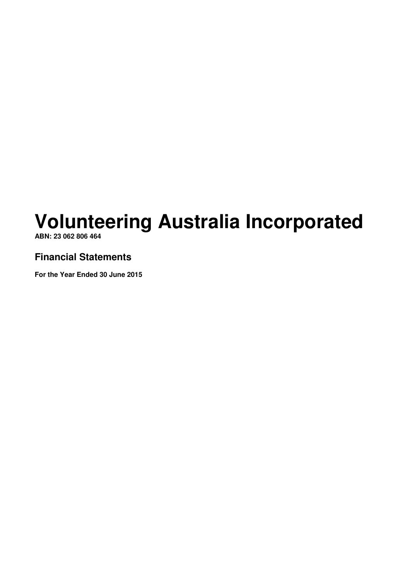**ABN: 23 062 806 464**

## **Financial Statements**

**For the Year Ended 30 June 2015**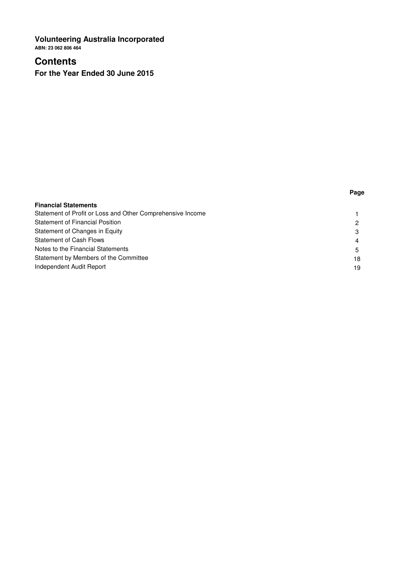### **Contents**

**For the Year Ended 30 June 2015**

| <b>Financial Statements</b>                                |    |
|------------------------------------------------------------|----|
| Statement of Profit or Loss and Other Comprehensive Income |    |
| <b>Statement of Financial Position</b>                     |    |
| Statement of Changes in Equity                             |    |
| <b>Statement of Cash Flows</b>                             | 4  |
| Notes to the Financial Statements                          | 5  |
| Statement by Members of the Committee                      | 18 |
| Independent Audit Report                                   | 19 |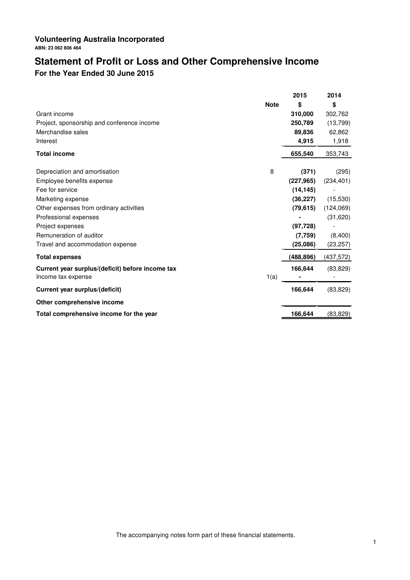## **Statement of Profit or Loss and Other Comprehensive Income**

## **For the Year Ended 30 June 2015**

|                                                  |             | 2015       | 2014       |
|--------------------------------------------------|-------------|------------|------------|
|                                                  | <b>Note</b> | \$         | \$         |
| Grant income                                     |             | 310,000    | 302,762    |
| Project, sponsorship and conference income       |             | 250,789    | (13,799)   |
| Merchandise sales                                |             | 89,836     | 62,862     |
| Interest                                         |             | 4,915      | 1,918      |
| <b>Total income</b>                              |             | 655,540    | 353,743    |
| Depreciation and amortisation                    | 8           | (371)      | (295)      |
| Employee benefits expense                        |             | (227, 965) | (234, 401) |
| Fee for service                                  |             | (14, 145)  |            |
| Marketing expense                                |             | (36, 227)  | (15, 530)  |
| Other expenses from ordinary activities          |             | (79, 615)  | (124,069)  |
| Professional expenses                            |             |            | (31,620)   |
| Project expenses                                 |             | (97, 728)  |            |
| Remuneration of auditor                          |             | (7, 759)   | (8,400)    |
| Travel and accommodation expense                 |             | (25,086)   | (23, 257)  |
| <b>Total expenses</b>                            |             | (488,896)  | (437, 572) |
| Current year surplus/(deficit) before income tax |             | 166,644    | (83, 829)  |
| Income tax expense                               | 1(a)        |            |            |
| Current year surplus/(deficit)                   |             | 166,644    | (83, 829)  |
| Other comprehensive income                       |             |            |            |
| Total comprehensive income for the year          |             | 166,644    | (83,829)   |

The accompanying notes form part of these financial statements.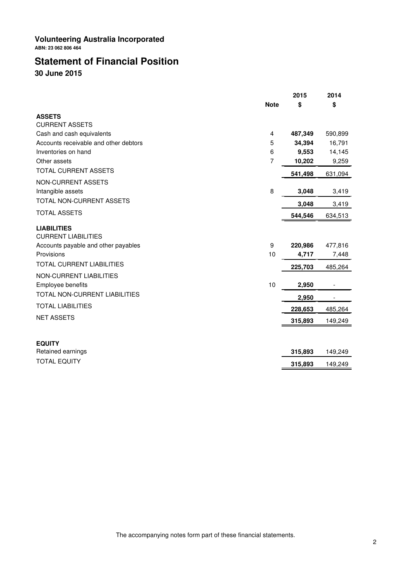## **Statement of Financial Position**

**30 June 2015**

|                                       |             | 2015    | 2014    |
|---------------------------------------|-------------|---------|---------|
|                                       | <b>Note</b> | \$      | \$      |
| <b>ASSETS</b>                         |             |         |         |
| <b>CURRENT ASSETS</b>                 |             |         |         |
| Cash and cash equivalents             | 4           | 487,349 | 590,899 |
| Accounts receivable and other debtors | 5           | 34,394  | 16,791  |
| Inventories on hand                   | 6           | 9,553   | 14,145  |
| Other assets                          | 7           | 10,202  | 9,259   |
| TOTAL CURRENT ASSETS                  |             | 541,498 | 631,094 |
| <b>NON-CURRENT ASSETS</b>             |             |         |         |
| Intangible assets                     | 8           | 3,048   | 3,419   |
| TOTAL NON-CURRENT ASSETS              |             | 3,048   | 3,419   |
| <b>TOTAL ASSETS</b>                   |             | 544,546 | 634,513 |
| <b>LIABILITIES</b>                    |             |         |         |
| <b>CURRENT LIABILITIES</b>            |             |         |         |
| Accounts payable and other payables   | 9           | 220,986 | 477,816 |
| Provisions                            | 10          | 4.717   | 7,448   |
| <b>TOTAL CURRENT LIABILITIES</b>      |             | 225,703 | 485,264 |
| NON-CURRENT LIABILITIES               |             |         |         |
| Employee benefits                     | 10          | 2,950   |         |
| TOTAL NON-CURRENT LIABILITIES         |             | 2,950   |         |
| <b>TOTAL LIABILITIES</b>              |             | 228,653 | 485,264 |
| <b>NET ASSETS</b>                     |             | 315,893 | 149,249 |
|                                       |             |         |         |
| <b>EQUITY</b>                         |             |         |         |
| Retained earnings                     |             | 315,893 | 149,249 |
| <b>TOTAL EQUITY</b>                   |             | 315,893 | 149,249 |

The accompanying notes form part of these financial statements.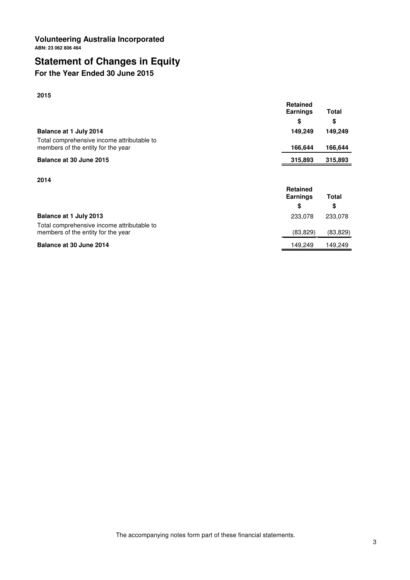## **Statement of Changes in Equity**

## **For the Year Ended 30 June 2015**

#### **2015**

|                                                                                  | Retained<br><b>Earnings</b> | Total   |
|----------------------------------------------------------------------------------|-----------------------------|---------|
|                                                                                  | \$                          | S       |
| Balance at 1 July 2014                                                           | 149.249                     | 149.249 |
| Total comprehensive income attributable to<br>members of the entity for the year | 166.644                     | 166.644 |
| Balance at 30 June 2015                                                          | 315,893                     | 315,893 |
|                                                                                  |                             |         |

#### **2014**

|                                                                                  | Retained<br><b>Earnings</b> | Total     |
|----------------------------------------------------------------------------------|-----------------------------|-----------|
|                                                                                  | S                           |           |
| Balance at 1 July 2013                                                           | 233.078                     | 233,078   |
| Total comprehensive income attributable to<br>members of the entity for the year | (83, 829)                   | (83, 829) |
| Balance at 30 June 2014                                                          | 149.249                     | 149.249   |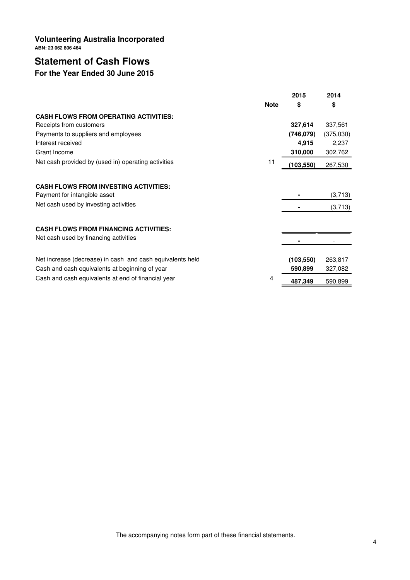**ABN: 23 062 806 464**

## **Statement of Cash Flows**

### **For the Year Ended 30 June 2015**

|                                                                              |             | 2015       | 2014      |
|------------------------------------------------------------------------------|-------------|------------|-----------|
|                                                                              | <b>Note</b> | \$         | \$        |
| <b>CASH FLOWS FROM OPERATING ACTIVITIES:</b>                                 |             |            |           |
| Receipts from customers                                                      |             | 327,614    | 337,561   |
| Payments to suppliers and employees                                          |             | (746, 079) | (375,030) |
| Interest received                                                            |             | 4,915      | 2,237     |
| Grant Income                                                                 |             | 310,000    | 302,762   |
| Net cash provided by (used in) operating activities                          | 11          | (103, 550) | 267,530   |
|                                                                              |             |            |           |
| <b>CASH FLOWS FROM INVESTING ACTIVITIES:</b><br>Payment for intangible asset |             |            | (3,713)   |
| Net cash used by investing activities                                        |             |            | (3,713)   |
| <b>CASH FLOWS FROM FINANCING ACTIVITIES:</b>                                 |             |            |           |
| Net cash used by financing activities                                        |             |            |           |
| Net increase (decrease) in cash and cash equivalents held                    |             | (103, 550) | 263,817   |
| Cash and cash equivalents at beginning of year                               |             | 590,899    | 327,082   |
| Cash and cash equivalents at end of financial year                           | 4           | 487,349    | 590,899   |

The accompanying notes form part of these financial statements.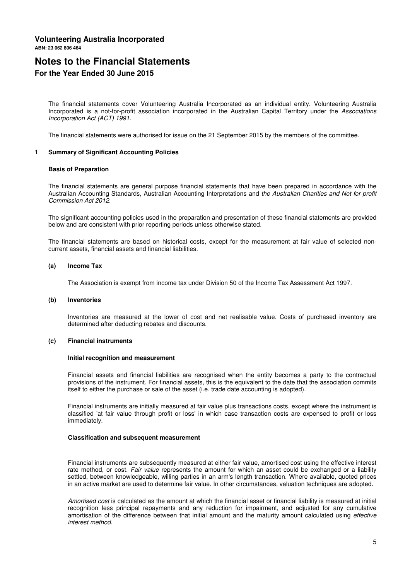### **Notes to the Financial Statements**

### **For the Year Ended 30 June 2015**

The financial statements cover Volunteering Australia Incorporated as an individual entity. Volunteering Australia Incorporated is a not-for-profit association incorporated in the Australian Capital Territory under the Associations Incorporation Act (ACT) 1991.

The financial statements were authorised for issue on the 21 September 2015 by the members of the committee.

#### **1 Summary of Significant Accounting Policies**

#### **Basis of Preparation**

The financial statements are general purpose financial statements that have been prepared in accordance with the Australian Accounting Standards, Australian Accounting Interpretations and the Australian Charities and Not-for-profit Commission Act 2012.

The significant accounting policies used in the preparation and presentation of these financial statements are provided below and are consistent with prior reporting periods unless otherwise stated.

The financial statements are based on historical costs, except for the measurement at fair value of selected noncurrent assets, financial assets and financial liabilities.

#### **(a) Income Tax**

The Association is exempt from income tax under Division 50 of the Income Tax Assessment Act 1997.

#### **(b) Inventories**

Inventories are measured at the lower of cost and net realisable value. Costs of purchased inventory are determined after deducting rebates and discounts.

#### **(c) Financial instruments**

#### **Initial recognition and measurement**

Financial assets and financial liabilities are recognised when the entity becomes a party to the contractual provisions of the instrument. For financial assets, this is the equivalent to the date that the association commits itself to either the purchase or sale of the asset (i.e. trade date accounting is adopted).

Financial instruments are initially measured at fair value plus transactions costs, except where the instrument is classified 'at fair value through profit or loss' in which case transaction costs are expensed to profit or loss immediately.

#### **Classification and subsequent measurement**

Financial instruments are subsequently measured at either fair value, amortised cost using the effective interest rate method, or cost. Fair value represents the amount for which an asset could be exchanged or a liability settled, between knowledgeable, willing parties in an arm's length transaction. Where available, quoted prices in an active market are used to determine fair value. In other circumstances, valuation techniques are adopted.

Amortised cost is calculated as the amount at which the financial asset or financial liability is measured at initial recognition less principal repayments and any reduction for impairment, and adjusted for any cumulative amortisation of the difference between that initial amount and the maturity amount calculated using effective interest method.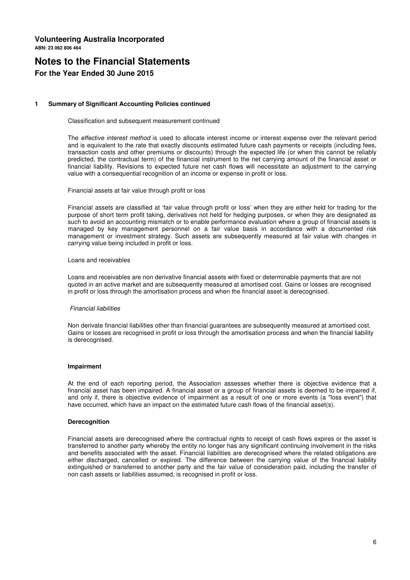**Notes to the Financial Statements For the Year Ended 30 June 2015**

#### **1 Summary of Significant Accounting Policies continued**

Classification and subsequent measurement continued

The effective interest method is used to allocate interest income or interest expense over the relevant period and is equivalent to the rate that exactly discounts estimated future cash payments or receipts (including fees, transaction costs and other premiums or discounts) through the expected life (or when this cannot be reliably predicted, the contractual term) of the financial instrument to the net carrying amount of the financial asset or financial liability. Revisions to expected future net cash flows will necessitate an adjustment to the carrying value with a consequential recognition of an income or expense in profit or loss.

Financial assets at fair value through profit or loss

Financial assets are classified at 'fair value through profit or loss' when they are either held for trading for the purpose of short term profit taking, derivatives not held for hedging purposes, or when they are designated as such to avoid an accounting mismatch or to enable performance evaluation where a group of financial assets is managed by key management personnel on a fair value basis in accordance with a documented risk management or investment strategy. Such assets are subsequently measured at fair value with changes in carrying value being included in profit or loss.

#### Loans and receivables

Loans and receivables are non derivative financial assets with fixed or determinable payments that are not quoted in an active market and are subsequently measured at amortised cost. Gains or losses are recognised in profit or loss through the amortisation process and when the financial asset is derecognised.

#### Financial liabilities

Non derivate financial liabilities other than financial guarantees are subsequently measured at amortised cost. Gains or losses are recognised in profit or loss through the amortisation process and when the financial liability is derecognised.

#### **Impairment**

At the end of each reporting period, the Association assesses whether there is objective evidence that a financial asset has been impaired. A financial asset or a group of financial assets is deemed to be impaired if, and only if, there is objective evidence of impairment as a result of one or more events (a "loss event") that have occurred, which have an impact on the estimated future cash flows of the financial asset(s).

#### **Derecognition**

Financial assets are derecognised where the contractual rights to receipt of cash flows expires or the asset is transferred to another party whereby the entity no longer has any significant continuing involvement in the risks and benefits associated with the asset. Financial liabilities are derecognised where the related obligations are either discharged, cancelled or expired. The difference between the carrying value of the financial liability extinguished or transferred to another party and the fair value of consideration paid, including the transfer of non cash assets or liabilities assumed, is recognised in profit or loss.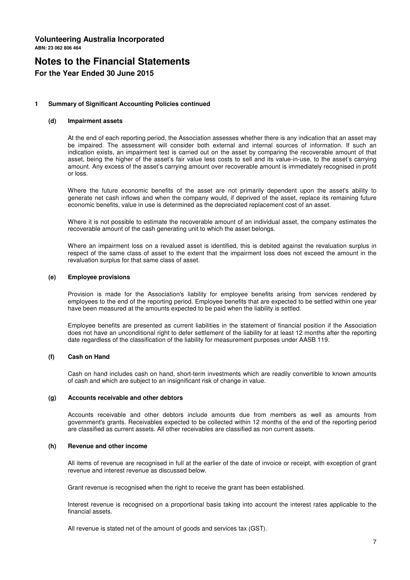**ABN: 23 062 806 464**

## **Notes to the Financial Statements**

**For the Year Ended 30 June 2015**

#### **1 Summary of Significant Accounting Policies continued**

#### **(d) Impairment assets**

At the end of each reporting period, the Association assesses whether there is any indication that an asset may be impaired. The assessment will consider both external and internal sources of information. If such an indication exists, an impairment test is carried out on the asset by comparing the recoverable amount of that asset, being the higher of the asset's fair value less costs to sell and its value-in-use, to the asset's carrying amount. Any excess of the asset's carrying amount over recoverable amount is immediately recognised in profit or loss.

Where the future economic benefits of the asset are not primarily dependent upon the asset's ability to generate net cash inflows and when the company would, if deprived of the asset, replace its remaining future economic benefits, value in use is determined as the depreciated replacement cost of an asset.

Where it is not possible to estimate the recoverable amount of an individual asset, the company estimates the recoverable amount of the cash generating unit to which the asset belongs.

Where an impairment loss on a revalued asset is identified, this is debited against the revaluation surplus in respect of the same class of asset to the extent that the impairment loss does not exceed the amount in the revaluation surplus for that same class of asset.

#### **(e) Employee provisions**

Provision is made for the Association's liability for employee benefits arising from services rendered by employees to the end of the reporting period. Employee benefits that are expected to be settled within one year have been measured at the amounts expected to be paid when the liability is settled.

Employee benefits are presented as current liabilities in the statement of financial position if the Association does not have an unconditional right to defer settlement of the liability for at least 12 months after the reporting date regardless of the classification of the liability for measurement purposes under AASB 119.

#### **(f) Cash on Hand**

Cash on hand includes cash on hand, short-term investments which are readily convertible to known amounts of cash and which are subject to an insignificant risk of change in value.

#### **(g) Accounts receivable and other debtors**

Accounts receivable and other debtors include amounts due from members as well as amounts from government's grants. Receivables expected to be collected within 12 months of the end of the reporting period are classified as current assets. All other receivables are classified as non current assets.

#### **(h) Revenue and other income**

All items of revenue are recognised in full at the earlier of the date of invoice or receipt, with exception of grant revenue and interest revenue as discussed below.

Grant revenue is recognised when the right to receive the grant has been established.

Interest revenue is recognised on a proportional basis taking into account the interest rates applicable to the financial assets.

All revenue is stated net of the amount of goods and services tax (GST).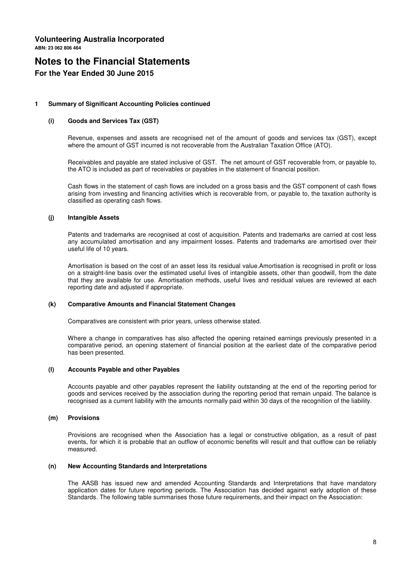**ABN: 23 062 806 464**

### **Notes to the Financial Statements**

### **For the Year Ended 30 June 2015**

#### **1 Summary of Significant Accounting Policies continued**

#### **(i) Goods and Services Tax (GST)**

Revenue, expenses and assets are recognised net of the amount of goods and services tax (GST), except where the amount of GST incurred is not recoverable from the Australian Taxation Office (ATO).

Receivables and payable are stated inclusive of GST. The net amount of GST recoverable from, or payable to, the ATO is included as part of receivables or payables in the statement of financial position.

Cash flows in the statement of cash flows are included on a gross basis and the GST component of cash flows arising from investing and financing activities which is recoverable from, or payable to, the taxation authority is classified as operating cash flows.

#### **(j) Intangible Assets**

Patents and trademarks are recognised at cost of acquisition. Patents and trademarks are carried at cost less any accumulated amortisation and any impairment losses. Patents and trademarks are amortised over their useful life of 10 years.

Amortisation is based on the cost of an asset less its residual value.Amortisation is recognised in profit or loss on a straight-line basis over the estimated useful lives of intangible assets, other than goodwill, from the date that they are available for use. Amortisation methods, useful lives and residual values are reviewed at each reporting date and adjusted if appropriate.

#### **(k) Comparative Amounts and Financial Statement Changes**

Comparatives are consistent with prior years, unless otherwise stated.

Where a change in comparatives has also affected the opening retained earnings previously presented in a comparative period, an opening statement of financial position at the earliest date of the comparative period has been presented.

#### **(l) Accounts Payable and other Payables**

Accounts payable and other payables represent the liability outstanding at the end of the reporting period for goods and services received by the association during the reporting period that remain unpaid. The balance is recognised as a current liability with the amounts normally paid within 30 days of the recognition of the liability.

#### **(m) Provisions**

Provisions are recognised when the Association has a legal or constructive obligation, as a result of past events, for which it is probable that an outflow of economic benefits will result and that outflow can be reliably measured.

#### **(n) New Accounting Standards and Interpretations**

The AASB has issued new and amended Accounting Standards and Interpretations that have mandatory application dates for future reporting periods. The Association has decided against early adoption of these Standards. The following table summarises those future requirements, and their impact on the Association: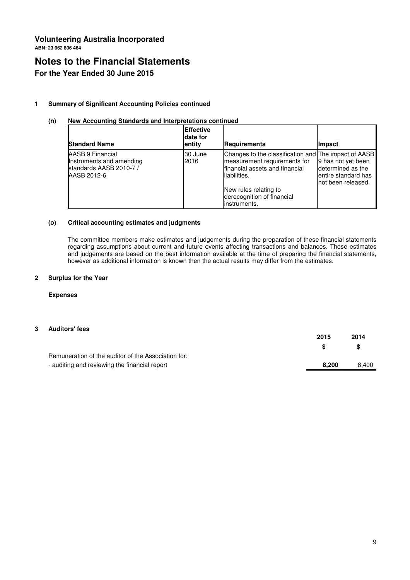## **Notes to the Financial Statements**

**For the Year Ended 30 June 2015**

#### **1 Summary of Significant Accounting Policies continued**

#### **(n) New Accounting Standards and Interpretations continued**

| <b>Standard Name</b>                                                                          | <b>Effective</b><br>date for<br>entity | Requirements                                                                                                                                                                                                     | Impact                                                                                 |
|-----------------------------------------------------------------------------------------------|----------------------------------------|------------------------------------------------------------------------------------------------------------------------------------------------------------------------------------------------------------------|----------------------------------------------------------------------------------------|
| <b>AASB 9 Financial</b><br>Instruments and amending<br>standards AASB 2010-7 /<br>AASB 2012-6 | 30 June<br>2016                        | Changes to the classification and The impact of AASB<br>Imeasurement requirements for<br>lfinancial assets and financial<br>lliabilities.<br>New rules relating to<br>derecognition of financial<br>instruments. | 9 has not yet been<br>ldetermined as the<br>entire standard has<br>Inot been released. |

#### **(o) Critical accounting estimates and judgments**

The committee members make estimates and judgements during the preparation of these financial statements regarding assumptions about current and future events affecting transactions and balances. These estimates and judgements are based on the best information available at the time of preparing the financial statements, however as additional information is known then the actual results may differ from the estimates.

#### **2 Surplus for the Year**

#### **Expenses**

#### **3 Auditors' fees**

|                                                     | 2015  | 2014  |
|-----------------------------------------------------|-------|-------|
|                                                     |       |       |
| Remuneration of the auditor of the Association for: |       |       |
| - auditing and reviewing the financial report       | 8.200 | 8.400 |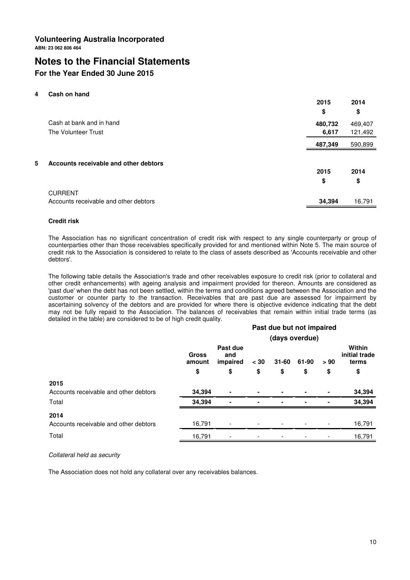## **Notes to the Financial Statements**

### **For the Year Ended 30 June 2015**

#### **4 Cash on hand**

|                                            | 2015    | 2014    |
|--------------------------------------------|---------|---------|
|                                            | \$      | \$      |
| Cash at bank and in hand                   | 480,732 | 469,407 |
| The Volunteer Trust                        | 6,617   | 121,492 |
|                                            | 487,349 | 590,899 |
| 5<br>Accounts receivable and other debtors |         |         |
|                                            | 2015    | 2014    |
|                                            | \$      | \$      |
| <b>CURRENT</b>                             |         |         |
| Accounts receivable and other debtors      | 34,394  | 16,791  |

#### **Credit risk**

The Association has no significant concentration of credit risk with respect to any single counterparty or group of counterparties other than those receivables specifically provided for and mentioned within Note 5. The main source of credit risk to the Association is considered to relate to the class of assets described as 'Accounts receivable and other debtors'.

The following table details the Association's trade and other receivables exposure to credit risk (prior to collateral and other credit enhancements) with ageing analysis and impairment provided for thereon. Amounts are considered as 'past due' when the debt has not been settled, within the terms and conditions agreed between the Association and the customer or counter party to the transaction. Receivables that are past due are assessed for impairment by ascertaining solvency of the debtors and are provided for where there is objective evidence indicating that the debt may not be fully repaid to the Association. The balances of receivables that remain within initial trade terms (as detailed in the table) are considered to be of high credit quality.

#### **Past due but not impaired**

|                                               | (days overdue)                                        |                          |      |                |                |      |                                  |
|-----------------------------------------------|-------------------------------------------------------|--------------------------|------|----------------|----------------|------|----------------------------------|
|                                               | Past due<br><b>Gross</b><br>and<br>impaired<br>amount |                          | < 30 | $31 - 60$      | 61-90          | > 90 | Within<br>initial trade<br>terms |
|                                               | \$                                                    | \$                       | \$   | \$             | \$             | \$   | \$                               |
| 2015<br>Accounts receivable and other debtors | 34,394                                                | $\blacksquare$           |      |                | ٠              |      | 34,394                           |
| Total                                         | 34,394                                                |                          |      | $\blacksquare$ | $\blacksquare$ |      | 34,394                           |
| 2014<br>Accounts receivable and other debtors | 16,791                                                | $\overline{\phantom{a}}$ |      |                |                |      | 16,791                           |
| Total                                         | 16,791                                                |                          |      |                |                |      | 16,791                           |

#### Collateral held as security

The Association does not hold any collateral over any receivables balances.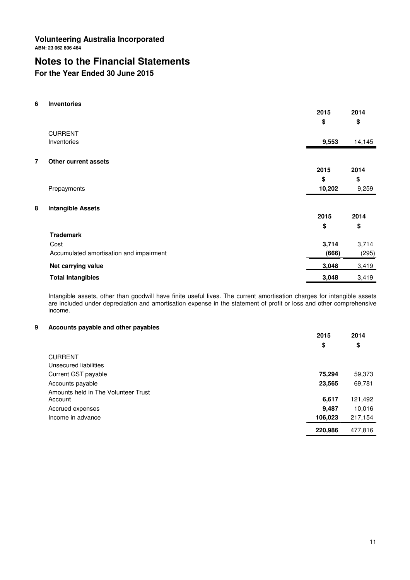## **Notes to the Financial Statements**

**For the Year Ended 30 June 2015**

#### **6 Inventories**

|                                         | 2015<br>\$   | 2014<br>\$  |
|-----------------------------------------|--------------|-------------|
| <b>CURRENT</b><br>Inventories           | 9,553        | 14,145      |
| 7<br>Other current assets               |              |             |
|                                         | 2015         | 2014        |
| Prepayments                             | \$<br>10,202 | \$<br>9,259 |
| <b>Intangible Assets</b><br>8           |              |             |
|                                         | 2015<br>\$   | 2014<br>\$  |
| <b>Trademark</b>                        |              |             |
| Cost                                    | 3,714        | 3,714       |
| Accumulated amortisation and impairment | (666)        | (295)       |
| Net carrying value                      | 3,048        | 3,419       |
| <b>Total Intangibles</b>                | 3,048        | 3,419       |

Intangible assets, other than goodwill have finite useful lives. The current amortisation charges for intangible assets are included under depreciation and amortisation expense in the statement of profit or loss and other comprehensive income.

#### **9 Accounts payable and other payables**

|                                     | 2015    | 2014    |
|-------------------------------------|---------|---------|
|                                     | \$      | \$      |
| <b>CURRENT</b>                      |         |         |
| Unsecured liabilities               |         |         |
| Current GST payable                 | 75,294  | 59,373  |
| Accounts payable                    | 23,565  | 69,781  |
| Amounts held in The Volunteer Trust |         |         |
| Account                             | 6,617   | 121,492 |
| Accrued expenses                    | 9,487   | 10,016  |
| Income in advance                   | 106,023 | 217,154 |
|                                     | 220,986 | 477,816 |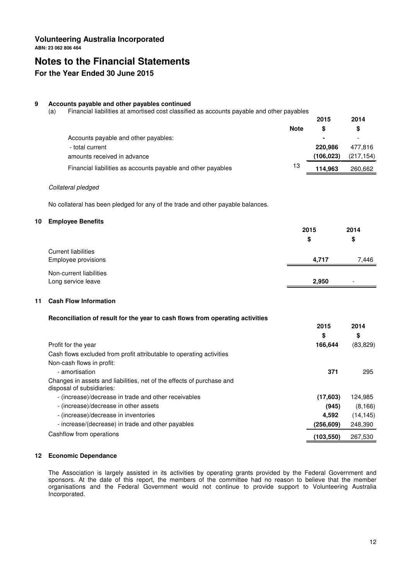### **Notes to the Financial Statements**

### **For the Year Ended 30 June 2015**

## **9 Accounts payable and other payables continued**

Financial liabilities at amortised cost classified as accounts payable and other payables

|                                                              |             | 20 I J     | 20 I 4                   |
|--------------------------------------------------------------|-------------|------------|--------------------------|
|                                                              | <b>Note</b> | S          | S                        |
| Accounts payable and other payables:                         |             |            | $\overline{\phantom{a}}$ |
| - total current                                              |             | 220,986    | 477.816                  |
| amounts received in advance                                  |             | (106, 023) | (217, 154)               |
| Financial liabilities as accounts payable and other payables | 13          | 114.963    | 260,662                  |

**2015**

**2014**

#### Collateral pledged

No collateral has been pledged for any of the trade and other payable balances.

#### **10 Employee Benefits**

|                                                   | 2015<br>\$ | 2014<br>\$               |
|---------------------------------------------------|------------|--------------------------|
| <b>Current liabilities</b><br>Employee provisions | 4,717      | 7,446                    |
| Non-current liabilities<br>Long service leave     | 2,950      | $\overline{\phantom{a}}$ |

#### **11 Cash Flow Information**

#### **Reconciliation of result for the year to cash flows from operating activities**

|                                                                                                    | 2015<br>\$ | 2014<br>\$ |
|----------------------------------------------------------------------------------------------------|------------|------------|
| Profit for the year                                                                                | 166.644    | (83, 829)  |
| Cash flows excluded from profit attributable to operating activities                               |            |            |
| Non-cash flows in profit:                                                                          |            |            |
| - amortisation                                                                                     | 371        | 295        |
| Changes in assets and liabilities, net of the effects of purchase and<br>disposal of subsidiaries: |            |            |
| - (increase)/decrease in trade and other receivables                                               | (17,603)   | 124,985    |
| - (increase)/decrease in other assets                                                              | (945)      | (8, 166)   |
| - (increase)/decrease in inventories                                                               | 4,592      | (14, 145)  |
| - increase/(decrease) in trade and other payables                                                  | (256.609)  | 248,390    |
| Cashflow from operations                                                                           | (103.550)  | 267.530    |

#### **12 Economic Dependance**

The Association is largely assisted in its activities by operating grants provided by the Federal Government and sponsors. At the date of this report, the members of the committee had no reason to believe that the member organisations and the Federal Government would not continue to provide support to Volunteering Australia Incorporated.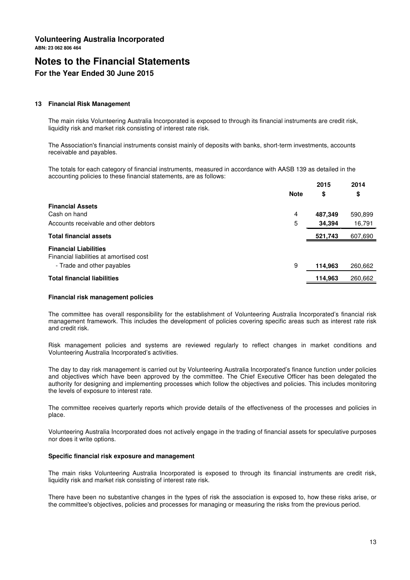**ABN: 23 062 806 464**

## **Notes to the Financial Statements**

#### **For the Year Ended 30 June 2015**

#### **13 Financial Risk Management**

The main risks Volunteering Australia Incorporated is exposed to through its financial instruments are credit risk, liquidity risk and market risk consisting of interest rate risk.

The Association's financial instruments consist mainly of deposits with banks, short-term investments, accounts receivable and payables.

The totals for each category of financial instruments, measured in accordance with AASB 139 as detailed in the accounting policies to these financial statements, are as follows: **2015**

|                                         | <b>Note</b> | 2015<br>\$ | 2014<br>\$ |
|-----------------------------------------|-------------|------------|------------|
| <b>Financial Assets</b>                 |             |            |            |
| Cash on hand                            | 4           | 487,349    | 590,899    |
| Accounts receivable and other debtors   | 5           | 34,394     | 16,791     |
| <b>Total financial assets</b>           |             | 521,743    | 607,690    |
| <b>Financial Liabilities</b>            |             |            |            |
| Financial liabilities at amortised cost |             |            |            |
| - Trade and other payables              | 9           | 114,963    | 260,662    |
| <b>Total financial liabilities</b>      |             | 114,963    | 260,662    |
|                                         |             |            |            |

#### **Financial risk management policies**

The committee has overall responsibility for the establishment of Volunteering Australia Incorporated's financial risk management framework. This includes the development of policies covering specific areas such as interest rate risk and credit risk.

Risk management policies and systems are reviewed regularly to reflect changes in market conditions and Volunteering Australia Incorporated's activities.

The day to day risk management is carried out by Volunteering Australia Incorporated's finance function under policies and objectives which have been approved by the committee. The Chief Executive Officer has been delegated the authority for designing and implementing processes which follow the objectives and policies. This includes monitoring the levels of exposure to interest rate.

The committee receives quarterly reports which provide details of the effectiveness of the processes and policies in place.

Volunteering Australia Incorporated does not actively engage in the trading of financial assets for speculative purposes nor does it write options.

#### **Specific financial risk exposure and management**

The main risks Volunteering Australia Incorporated is exposed to through its financial instruments are credit risk, liquidity risk and market risk consisting of interest rate risk.

There have been no substantive changes in the types of risk the association is exposed to, how these risks arise, or the committee's objectives, policies and processes for managing or measuring the risks from the previous period.

**2014**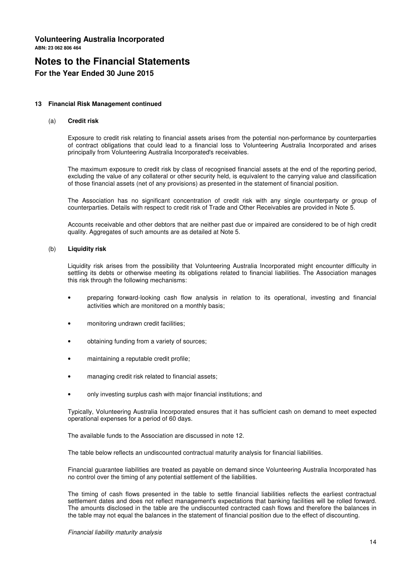**ABN: 23 062 806 464**

## **Notes to the Financial Statements**

**For the Year Ended 30 June 2015**

#### **13 Financial Risk Management continued**

#### (a) **Credit risk**

Exposure to credit risk relating to financial assets arises from the potential non-performance by counterparties of contract obligations that could lead to a financial loss to Volunteering Australia Incorporated and arises principally from Volunteering Australia Incorporated's receivables.

The maximum exposure to credit risk by class of recognised financial assets at the end of the reporting period, excluding the value of any collateral or other security held, is equivalent to the carrying value and classification of those financial assets (net of any provisions) as presented in the statement of financial position.

The Association has no significant concentration of credit risk with any single counterparty or group of counterparties. Details with respect to credit risk of Trade and Other Receivables are provided in Note 5.

Accounts receivable and other debtors that are neither past due or impaired are considered to be of high credit quality. Aggregates of such amounts are as detailed at Note 5.

#### (b) **Liquidity risk**

Liquidity risk arises from the possibility that Volunteering Australia Incorporated might encounter difficulty in settling its debts or otherwise meeting its obligations related to financial liabilities. The Association manages this risk through the following mechanisms:

- preparing forward-looking cash flow analysis in relation to its operational, investing and financial activities which are monitored on a monthly basis;
- monitoring undrawn credit facilities:
- obtaining funding from a variety of sources;
- maintaining a reputable credit profile;
- managing credit risk related to financial assets;
- only investing surplus cash with major financial institutions; and

Typically, Volunteering Australia Incorporated ensures that it has sufficient cash on demand to meet expected operational expenses for a period of 60 days.

The available funds to the Association are discussed in note 12.

The table below reflects an undiscounted contractual maturity analysis for financial liabilities.

Financial guarantee liabilities are treated as payable on demand since Volunteering Australia Incorporated has no control over the timing of any potential settlement of the liabilities.

The timing of cash flows presented in the table to settle financial liabilities reflects the earliest contractual settlement dates and does not reflect management's expectations that banking facilities will be rolled forward. The amounts disclosed in the table are the undiscounted contracted cash flows and therefore the balances in the table may not equal the balances in the statement of financial position due to the effect of discounting.

Financial liability maturity analysis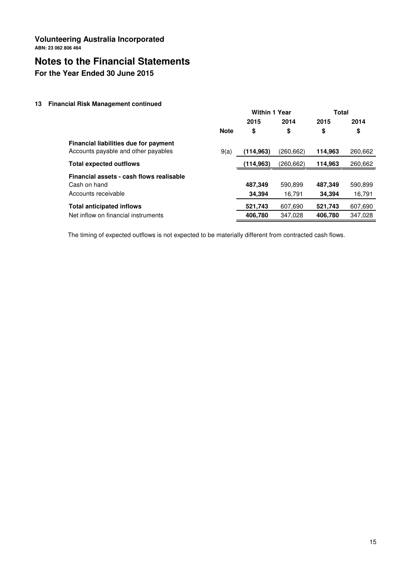## **Notes to the Financial Statements**

**For the Year Ended 30 June 2015**

#### **13 Financial Risk Management continued**

|                                          |             | <b>Within 1 Year</b> |           | <b>Total</b> |         |
|------------------------------------------|-------------|----------------------|-----------|--------------|---------|
|                                          |             | 2015                 | 2014      | 2015         | 2014    |
|                                          | <b>Note</b> | \$                   | \$        | \$           | \$      |
| Financial liabilities due for payment    |             |                      |           |              |         |
| Accounts payable and other payables      | 9(a)        | (114, 963)           | (260,662) | 114,963      | 260,662 |
| <b>Total expected outflows</b>           |             | (114,963)            | (260,662) | 114,963      | 260,662 |
| Financial assets - cash flows realisable |             |                      |           |              |         |
| Cash on hand                             |             | 487,349              | 590.899   | 487.349      | 590,899 |
| Accounts receivable                      |             | 34,394               | 16,791    | 34,394       | 16,791  |
| <b>Total anticipated inflows</b>         |             | 521,743              | 607,690   | 521,743      | 607,690 |
| Net inflow on financial instruments      |             | 406.780              | 347.028   | 406.780      | 347.028 |

The timing of expected outflows is not expected to be materially different from contracted cash flows.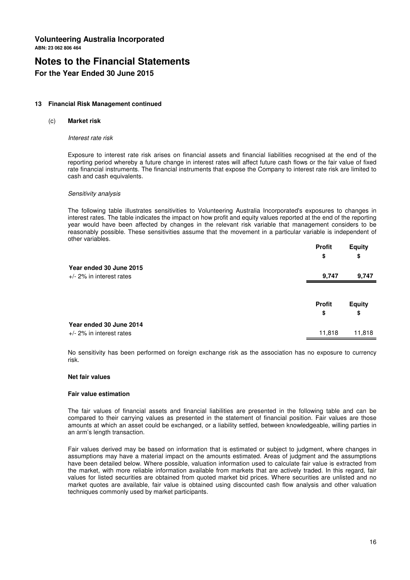**ABN: 23 062 806 464**

## **Notes to the Financial Statements**

**For the Year Ended 30 June 2015**

#### **13 Financial Risk Management continued**

#### (c) **Market risk**

#### Interest rate risk

Exposure to interest rate risk arises on financial assets and financial liabilities recognised at the end of the reporting period whereby a future change in interest rates will affect future cash flows or the fair value of fixed rate financial instruments. The financial instruments that expose the Company to interest rate risk are limited to cash and cash equivalents.

#### Sensitivity analysis

The following table illustrates sensitivities to Volunteering Australia Incorporated's exposures to changes in interest rates. The table indicates the impact on how profit and equity values reported at the end of the reporting year would have been affected by changes in the relevant risk variable that management considers to be reasonably possible. These sensitivities assume that the movement in a particular variable is independent of other variables.

|                                                     | <b>Profit</b><br>\$ | <b>Equity</b><br>\$ |
|-----------------------------------------------------|---------------------|---------------------|
| Year ended 30 June 2015<br>+/- 2% in interest rates | 9,747               | 9,747               |
|                                                     | <b>Profit</b><br>\$ | <b>Equity</b><br>\$ |
| Year ended 30 June 2014<br>+/- 2% in interest rates | 11,818              | 11,818              |

No sensitivity has been performed on foreign exchange risk as the association has no exposure to currency risk.

#### **Net fair values**

#### **Fair value estimation**

The fair values of financial assets and financial liabilities are presented in the following table and can be compared to their carrying values as presented in the statement of financial position. Fair values are those amounts at which an asset could be exchanged, or a liability settled, between knowledgeable, willing parties in an arm's length transaction.

Fair values derived may be based on information that is estimated or subject to judgment, where changes in assumptions may have a material impact on the amounts estimated. Areas of judgment and the assumptions have been detailed below. Where possible, valuation information used to calculate fair value is extracted from the market, with more reliable information available from markets that are actively traded. In this regard, fair values for listed securities are obtained from quoted market bid prices. Where securities are unlisted and no market quotes are available, fair value is obtained using discounted cash flow analysis and other valuation techniques commonly used by market participants.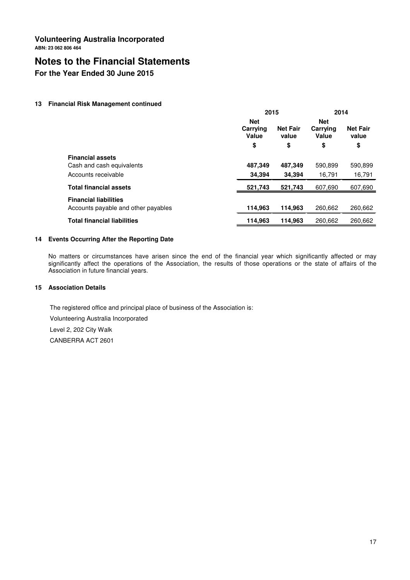## **Notes to the Financial Statements**

**For the Year Ended 30 June 2015**

#### **13 Financial Risk Management continued**

|                                     | 2015                            |                          | 2014                            |                          |
|-------------------------------------|---------------------------------|--------------------------|---------------------------------|--------------------------|
|                                     | <b>Net</b><br>Carrying<br>Value | <b>Net Fair</b><br>value | <b>Net</b><br>Carrying<br>Value | <b>Net Fair</b><br>value |
|                                     | \$                              | \$                       | \$                              | \$                       |
| <b>Financial assets</b>             |                                 |                          |                                 |                          |
| Cash and cash equivalents           | 487,349                         | 487,349                  | 590,899                         | 590,899                  |
| Accounts receivable                 | 34,394                          | 34.394                   | 16,791                          | 16,791                   |
| <b>Total financial assets</b>       | 521,743                         | 521,743                  | 607,690                         | 607,690                  |
| <b>Financial liabilities</b>        |                                 |                          |                                 |                          |
| Accounts payable and other payables | 114,963                         | 114,963                  | 260.662                         | 260,662                  |
| <b>Total financial liabilities</b>  | 114,963                         | 114,963                  | 260,662                         | 260,662                  |

#### **14 Events Occurring After the Reporting Date**

No matters or circumstances have arisen since the end of the financial year which significantly affected or may significantly affect the operations of the Association, the results of those operations or the state of affairs of the Association in future financial years.

#### **15 Association Details**

The registered office and principal place of business of the Association is: Volunteering Australia Incorporated Level 2, 202 City Walk CANBERRA ACT 2601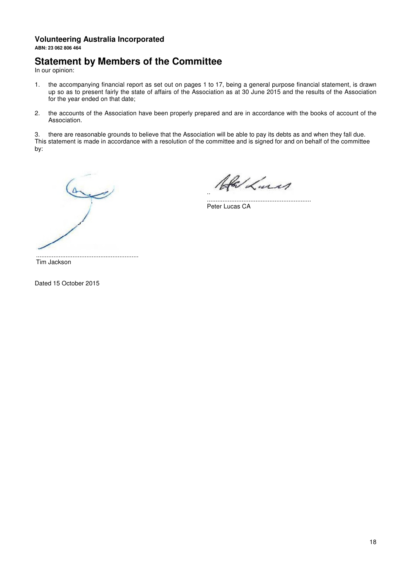**ABN: 23 062 806 464**

## **Statement by Members of the Committee**

In our opinion:

- 1. the accompanying financial report as set out on pages 1 to 17, being a general purpose financial statement, is drawn up so as to present fairly the state of affairs of the Association as at 30 June 2015 and the results of the Association for the year ended on that date;
- 2. the accounts of the Association have been properly prepared and are in accordance with the books of account of the Association.

3. there are reasonable grounds to believe that the Association will be able to pay its debts as and when they fall due. This statement is made in accordance with a resolution of the committee and is signed for and on behalf of the committee by:



bet Luras ..

............................................................ Peter Lucas CA

Tim Jackson

Dated 15 October 2015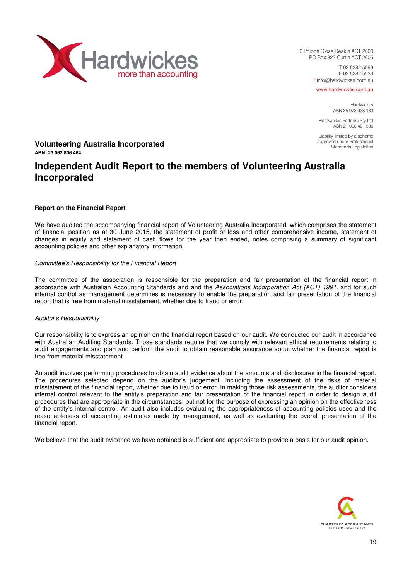

6 Phipps Close Deakin ACT 2600 PO Box 322 Curtin ACT 2605

> T 02 6282 5999 F 02 6282 5933 E info@hardwickes.com.au

www.hardwickes.com.au

**Hardwickes** ABN 35 973 938 183

Hardwickes Partners Pty Ltd ABN 21 008 401 536

Liability limited by a scheme approved under Professional Standards Legislation

#### **Volunteering Australia Incorporated ABN: 23 062 806 464**

## **Independent Audit Report to the members of Volunteering Australia Incorporated**

#### **Report on the Financial Report**

We have audited the accompanying financial report of Volunteering Australia Incorporated, which comprises the statement of financial position as at 30 June 2015, the statement of profit or loss and other comprehensive income, statement of changes in equity and statement of cash flows for the year then ended, notes comprising a summary of significant accounting policies and other explanatory information.

#### Committee's Responsibility for the Financial Report

The committee of the association is responsible for the preparation and fair presentation of the financial report in accordance with Australian Accounting Standards and and the Associations Incorporation Act (ACT) 1991. and for such internal control as management determines is necessary to enable the preparation and fair presentation of the financial report that is free from material misstatement, whether due to fraud or error.

#### Auditor's Responsibility

Our responsibility is to express an opinion on the financial report based on our audit. We conducted our audit in accordance with Australian Auditing Standards. Those standards require that we comply with relevant ethical requirements relating to audit engagements and plan and perform the audit to obtain reasonable assurance about whether the financial report is free from material misstatement.

An audit involves performing procedures to obtain audit evidence about the amounts and disclosures in the financial report. The procedures selected depend on the auditor's judgement, including the assessment of the risks of material misstatement of the financial report, whether due to fraud or error. In making those risk assessments, the auditor considers internal control relevant to the entity's preparation and fair presentation of the financial report in order to design audit procedures that are appropriate in the circumstances, but not for the purpose of expressing an opinion on the effectiveness of the entity's internal control. An audit also includes evaluating the appropriateness of accounting policies used and the reasonableness of accounting estimates made by management, as well as evaluating the overall presentation of the financial report.

We believe that the audit evidence we have obtained is sufficient and appropriate to provide a basis for our audit opinion.

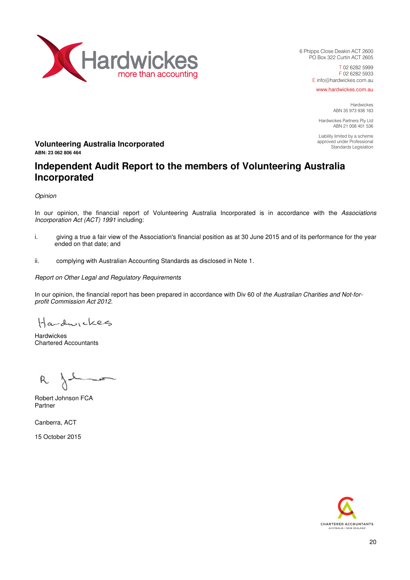

6 Phipps Close Deakin ACT 2600 PO Box 322 Curtin ACT 2605

> T 02 6282 5999 F 02 6282 5933 E info@hardwickes.com.au

www.hardwickes.com.au

Hardwickes ABN 35 973 938 183

Hardwickes Partners Pty Ltd ABN 21 008 401 536

Liability limited by a scheme approved under Professional Standards Legislation

**Volunteering Australia Incorporated ABN: 23 062 806 464**

## **Independent Audit Report to the members of Volunteering Australia Incorporated**

#### **Opinion**

In our opinion, the financial report of Volunteering Australia Incorporated is in accordance with the Associations Incorporation Act (ACT) 1991 including:

- i. giving a true a fair view of the Association's financial position as at 30 June 2015 and of its performance for the year ended on that date; and
- ii. complying with Australian Accounting Standards as disclosed in Note 1.

Report on Other Legal and Regulatory Requirements

In our opinion, the financial report has been prepared in accordance with Div 60 of the Australian Charities and Not-forprofit Commission Act 2012.

Hardwickes

Hardwickes Chartered Accountants

R

Robert Johnson FCA Partner

Canberra, ACT

15 October 2015